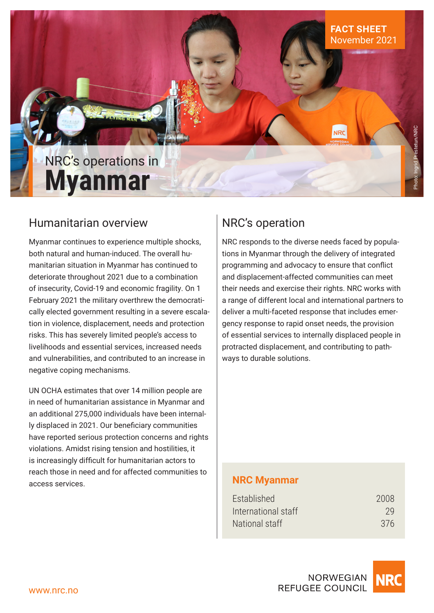

**NRC** 

Photo: Ingrid Prestetun/NRC

# NRC's operations in **Myanmar**

# Humanitarian overview

Myanmar continues to experience multiple shocks, both natural and human-induced. The overall humanitarian situation in Myanmar has continued to deteriorate throughout 2021 due to a combination of insecurity, Covid-19 and economic fragility. On 1 February 2021 the military overthrew the democratically elected government resulting in a severe escalation in violence, displacement, needs and protection risks. This has severely limited people's access to livelihoods and essential services, increased needs and vulnerabilities, and contributed to an increase in negative coping mechanisms.

UN OCHA estimates that over 14 million people are in need of humanitarian assistance in Myanmar and an additional 275,000 individuals have been internally displaced in 2021. Our beneficiary communities have reported serious protection concerns and rights violations. Amidst rising tension and hostilities, it is increasingly difficult for humanitarian actors to reach those in need and for affected communities to access services.

# NRC's operation

NRC responds to the diverse needs faced by populations in Myanmar through the delivery of integrated programming and advocacy to ensure that conflict and displacement-affected communities can meet their needs and exercise their rights. NRC works with a range of different local and international partners to deliver a multi-faceted response that includes emergency response to rapid onset needs, the provision of essential services to internally displaced people in protracted displacement, and contributing to pathways to durable solutions.

### **NRC Myanmar**

| Established         | 2008 |
|---------------------|------|
| International staff | -29  |
| National staff      | 376  |

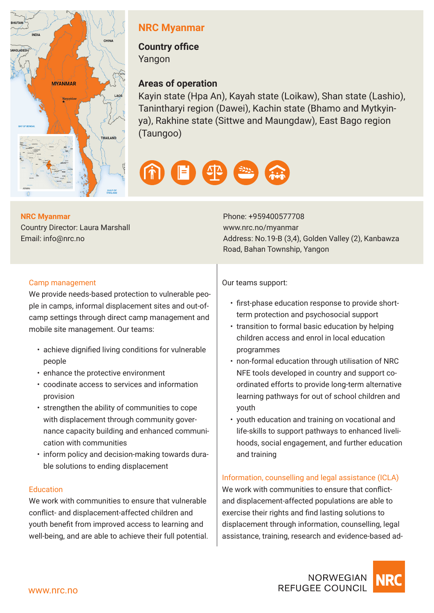

## **NRC Myanmar**

**Country office**  Yangon

### **Areas of operation**

Kayin state (Hpa An), Kayah state (Loikaw), Shan state (Lashio), Tanintharyi region (Dawei), Kachin state (Bhamo and Mytkyinya), Rakhine state (Sittwe and Maungdaw), East Bago region (Taungoo)



#### **NRC Myanmar**

Country Director: Laura Marshall Email: info@nrc.no

Phone: +959400577708 www.nrc.no/myanmar Address: No.19-B (3,4), Golden Valley (2), Kanbawza Road, Bahan Township, Yangon

#### Camp management

We provide needs-based protection to vulnerable people in camps, informal displacement sites and out-ofcamp settings through direct camp management and mobile site management. Our teams:

- achieve dignified living conditions for vulnerable people
- enhance the protective environment
- coodinate access to services and information provision
- strengthen the ability of communities to cope with displacement through community governance capacity building and enhanced communication with communities
- inform policy and decision-making towards durable solutions to ending displacement

#### **Education**

We work with communities to ensure that vulnerable conflict- and displacement-affected children and youth benefit from improved access to learning and well-being, and are able to achieve their full potential. Our teams support:

- first-phase education response to provide shortterm protection and psychosocial support
- transition to formal basic education by helping children access and enrol in local education programmes
- non-formal education through utilisation of NRC NFE tools developed in country and support coordinated efforts to provide long-term alternative learning pathways for out of school children and youth
- youth education and training on vocational and life-skills to support pathways to enhanced livelihoods, social engagement, and further education and training

#### Information, counselling and legal assistance (ICLA)

We work with communities to ensure that conflictand displacement-affected populations are able to exercise their rights and find lasting solutions to displacement through information, counselling, legal assistance, training, research and evidence-based ad-

**REFUGEE COUNCIL**